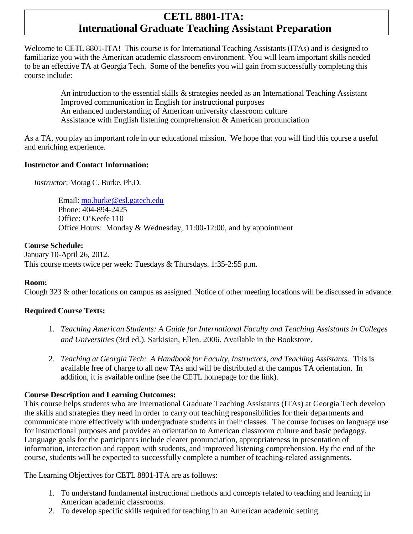# **CETL 8801-ITA: International Graduate Teaching Assistant Preparation**

Welcome to CETL 8801-ITA! This course is for International Teaching Assistants (ITAs) and is designed to familiarize you with the American academic classroom environment. You will learn important skills needed to be an effective TA at Georgia Tech. Some of the benefits you will gain from successfully completing this course include:

> An introduction to the essential skills & strategies needed as an International Teaching Assistant Improved communication in English for instructional purposes An enhanced understanding of American university classroom culture Assistance with English listening comprehension & American pronunciation

As a TA, you play an important role in our educational mission. We hope that you will find this course a useful and enriching experience.

### **Instructor and Contact Information:**

*Instructor*: Morag C. Burke, Ph.D.

Email: [mo.burke@esl.gatech.edu](mailto:mo.burke@esl.gatech.edu) Phone: 404-894-2425 Office: O'Keefe 110 Office Hours: Monday & Wednesday, 11:00-12:00, and by appointment

### **Course Schedule:**

January 10-April 26, 2012. This course meets twice per week: Tuesdays & Thursdays. 1:35-2:55 p.m.

## **Room:**

Clough 323 & other locations on campus as assigned. Notice of other meeting locations will be discussed in advance.

## **Required Course Texts:**

- 1. *Teaching American Students: A Guide for International Faculty and Teaching Assistants in Colleges and Universities* (3rd ed.). Sarkisian, Ellen. 2006. Available in the Bookstore.
- 2. *Teaching at Georgia Tech: A Handbook for Faculty, Instructors, and Teaching Assistants*. This is available free of charge to all new TAs and will be distributed at the campus TA orientation. In addition, it is available online (see the CETL homepage for the link).

## **Course Description and Learning Outcomes:**

This course helps students who are International Graduate Teaching Assistants (ITAs) at Georgia Tech develop the skills and strategies they need in order to carry out teaching responsibilities for their departments and communicate more effectively with undergraduate students in their classes. The course focuses on language use for instructional purposes and provides an orientation to American classroom culture and basic pedagogy. Language goals for the participants include clearer pronunciation, appropriateness in presentation of information, interaction and rapport with students, and improved listening comprehension. By the end of the course, students will be expected to successfully complete a number of teaching-related assignments.

The Learning Objectives for CETL 8801-ITA are as follows:

- 1. To understand fundamental instructional methods and concepts related to teaching and learning in American academic classrooms.
- 2. To develop specific skills required for teaching in an American academic setting.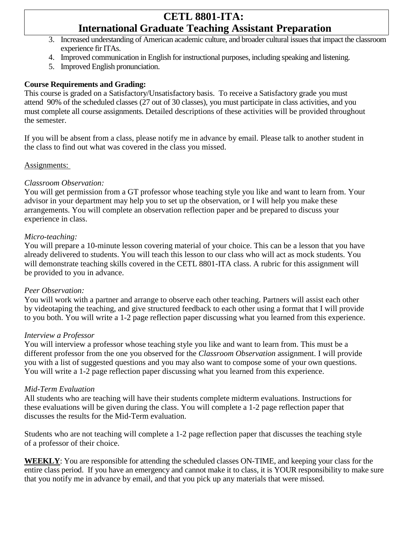# **CETL 8801-ITA: International Graduate Teaching Assistant Preparation**

- 3. Increased understanding of American academic culture, and broader cultural issues that impact the classroom experience fir ITAs.
- 4. Improved communication in English for instructional purposes, including speaking and listening.
- 5. Improved English pronunciation.

### **Course Requirements and Grading:**

This course is graded on a Satisfactory/Unsatisfactory basis. To receive a Satisfactory grade you must attend 90% of the scheduled classes (27 out of 30 classes), you must participate in class activities, and you must complete all course assignments. Detailed descriptions of these activities will be provided throughout the semester.

If you will be absent from a class, please notify me in advance by email. Please talk to another student in the class to find out what was covered in the class you missed.

#### Assignments:

#### *Classroom Observation:*

You will get permission from a GT professor whose teaching style you like and want to learn from. Your advisor in your department may help you to set up the observation, or I will help you make these arrangements. You will complete an observation reflection paper and be prepared to discuss your experience in class.

#### *Micro-teaching:*

You will prepare a 10-minute lesson covering material of your choice. This can be a lesson that you have already delivered to students. You will teach this lesson to our class who will act as mock students. You will demonstrate teaching skills covered in the CETL 8801-ITA class. A rubric for this assignment will be provided to you in advance.

#### *Peer Observation:*

You will work with a partner and arrange to observe each other teaching. Partners will assist each other by videotaping the teaching, and give structured feedback to each other using a format that I will provide to you both. You will write a 1-2 page reflection paper discussing what you learned from this experience.

#### *Interview a Professor*

You will interview a professor whose teaching style you like and want to learn from. This must be a different professor from the one you observed for the *Classroom Observation* assignment. I will provide you with a list of suggested questions and you may also want to compose some of your own questions. You will write a 1-2 page reflection paper discussing what you learned from this experience.

#### *Mid-Term Evaluation*

All students who are teaching will have their students complete midterm evaluations. Instructions for these evaluations will be given during the class. You will complete a 1-2 page reflection paper that discusses the results for the Mid-Term evaluation.

Students who are not teaching will complete a 1-2 page reflection paper that discusses the teaching style of a professor of their choice.

**WEEKLY**: You are responsible for attending the scheduled classes ON-TIME, and keeping your class for the entire class period. If you have an emergency and cannot make it to class, it is YOUR responsibility to make sure that you notify me in advance by email, and that you pick up any materials that were missed.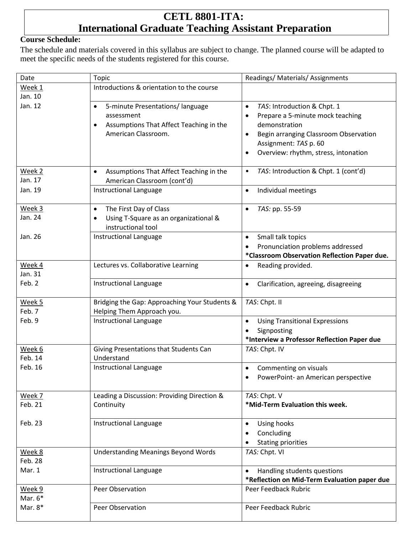# **CETL 8801-ITA: International Graduate Teaching Assistant Preparation**

## **Course Schedule:**

The schedule and materials covered in this syllabus are subject to change. The planned course will be adapted to meet the specific needs of the students registered for this course.

| Date      | Topic                                                | Readings/ Materials/ Assignments                   |
|-----------|------------------------------------------------------|----------------------------------------------------|
| Week 1    | Introductions & orientation to the course            |                                                    |
| Jan. 10   |                                                      |                                                    |
| Jan. 12   | 5-minute Presentations/ language<br>$\bullet$        | TAS: Introduction & Chpt. 1<br>$\bullet$           |
|           | assessment                                           | Prepare a 5-minute mock teaching<br>$\bullet$      |
|           | Assumptions That Affect Teaching in the<br>$\bullet$ | demonstration                                      |
|           | American Classroom.                                  | Begin arranging Classroom Observation<br>$\bullet$ |
|           |                                                      | Assignment: TAS p. 60                              |
|           |                                                      | Overview: rhythm, stress, intonation<br>$\bullet$  |
|           |                                                      |                                                    |
| Week 2    | Assumptions That Affect Teaching in the<br>$\bullet$ | TAS: Introduction & Chpt. 1 (cont'd)<br>$\bullet$  |
| Jan. 17   | American Classroom (cont'd)                          |                                                    |
| Jan. 19   | Instructional Language                               | Individual meetings<br>$\bullet$                   |
|           |                                                      |                                                    |
| Week 3    | The First Day of Class<br>$\bullet$                  | TAS: pp. 55-59<br>$\bullet$                        |
| Jan. 24   | Using T-Square as an organizational &<br>$\bullet$   |                                                    |
|           | instructional tool                                   |                                                    |
| Jan. 26   | Instructional Language                               | Small talk topics<br>$\bullet$                     |
|           |                                                      | Pronunciation problems addressed                   |
|           |                                                      | *Classroom Observation Reflection Paper due.       |
| Week 4    | Lectures vs. Collaborative Learning                  | Reading provided.<br>$\bullet$                     |
| Jan. 31   |                                                      |                                                    |
| Feb. 2    | Instructional Language                               | Clarification, agreeing, disagreeing<br>$\bullet$  |
|           |                                                      |                                                    |
| Week 5    | Bridging the Gap: Approaching Your Students &        | TAS: Chpt. II                                      |
| Feb. 7    | Helping Them Approach you.                           |                                                    |
| Feb. 9    | Instructional Language                               | <b>Using Transitional Expressions</b><br>$\bullet$ |
|           |                                                      | Signposting                                        |
|           |                                                      | *Interview a Professor Reflection Paper due        |
| Week 6    | Giving Presentations that Students Can               | TAS: Chpt. IV                                      |
| Feb. 14   | Understand                                           |                                                    |
| Feb. 16   | Instructional Language                               | Commenting on visuals<br>$\bullet$                 |
|           |                                                      | PowerPoint- an American perspective                |
|           |                                                      |                                                    |
| Week 7    | Leading a Discussion: Providing Direction &          | TAS: Chpt. V                                       |
| Feb. 21   | Continuity                                           | *Mid-Term Evaluation this week.                    |
|           |                                                      |                                                    |
| Feb. 23   | Instructional Language                               | Using hooks<br>$\bullet$                           |
|           |                                                      | Concluding                                         |
|           |                                                      | <b>Stating priorities</b>                          |
| Week 8    | <b>Understanding Meanings Beyond Words</b>           | TAS: Chpt. VI                                      |
| Feb. 28   |                                                      |                                                    |
| Mar. 1    | Instructional Language                               | Handling students questions<br>$\bullet$           |
|           |                                                      | *Reflection on Mid-Term Evaluation paper due       |
| Week 9    | Peer Observation                                     | Peer Feedback Rubric                               |
| Mar. $6*$ |                                                      |                                                    |
| Mar. $8*$ | Peer Observation                                     | Peer Feedback Rubric                               |
|           |                                                      |                                                    |